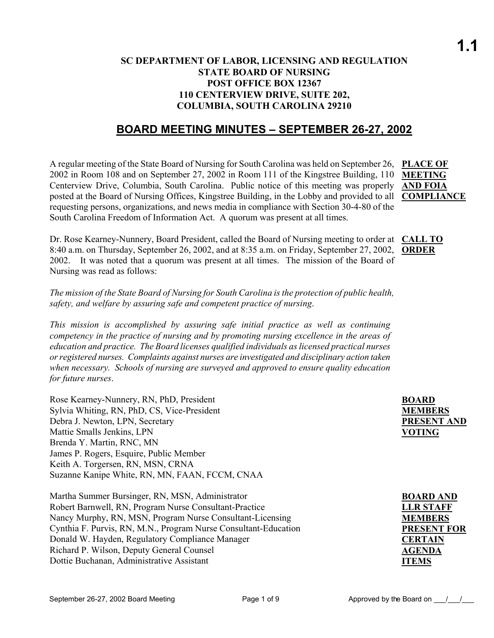#### **SC DEPARTMENT OF LABOR, LICENSING AND REGULATION STATE BOARD OF NURSING POST OFFICE BOX 12367 110 CENTERVIEW DRIVE, SUITE 202, COLUMBIA, SOUTH CAROLINA 29210**

### **BOARD MEETING MINUTES – SEPTEMBER 26-27, 2002**

A regular meeting of the State Board of Nursing for South Carolina was held on September 26, **PLACE OF**  2002 in Room 108 and on September 27, 2002 in Room 111 of the Kingstree Building, 110 Centerview Drive, Columbia, South Carolina. Public notice of this meeting was properly **AND FOIA** posted at the Board of Nursing Offices, Kingstree Building, in the Lobby and provided to all requesting persons, organizations, and news media in compliance with Section 30-4-80 of the South Carolina Freedom of Information Act. A quorum was present at all times.

**MEETING COMPLIANCE**

Dr. Rose Kearney-Nunnery, Board President, called the Board of Nursing meeting to order at **CALL TO**  8:40 a.m. on Thursday, September 26, 2002, and at 8:35 a.m. on Friday, September 27, 2002, **ORDER** 2002. It was noted that a quorum was present at all times. The mission of the Board of Nursing was read as follows:

*The mission of the State Board of Nursing for South Carolina is the protection of public health, safety, and welfare by assuring safe and competent practice of nursing*.

*This mission is accomplished by assuring safe initial practice as well as continuing competency in the practice of nursing and by promoting nursing excellence in the areas of education and practice. The Board licenses qualified individuals as licensed practical nurses or registered nurses. Complaints against nurses are investigated and disciplinary action taken when necessary. Schools of nursing are surveyed and approved to ensure quality education for future nurses*.

| Rose Kearney-Nunnery, RN, PhD, President       | <b>BOARD</b>     |
|------------------------------------------------|------------------|
| Sylvia Whiting, RN, PhD, CS, Vice-President    | <b>MEMBERS</b>   |
| Debra J. Newton, LPN, Secretary                | <b>PRESENT A</b> |
| Mattie Smalls Jenkins, LPN                     | <b>VOTING</b>    |
| Brenda Y. Martin, RNC, MN                      |                  |
| James P. Rogers, Esquire, Public Member        |                  |
| Keith A. Torgersen, RN, MSN, CRNA              |                  |
| Suzanne Kanipe White, RN, MN, FAAN, FCCM, CNAA |                  |
|                                                |                  |
| Martha Summer Bursinger RN MSN Administrator   | <b>ROARD ANI</b> |

Martha Summer Bursinger, RN, MSN, Administrator Robert Barnwell, RN, Program Nurse Consultant-Practice Nancy Murphy, RN, MSN, Program Nurse Consultant-Licensing Cynthia F. Purvis, RN, M.N., Program Nurse Consultant-Education Donald W. Hayden, Regulatory Compliance Manager Richard P. Wilson, Deputy General Counsel Dottie Buchanan, Administrative Assistant

**PRESENT AND** 

| <b>BOARD AND</b>   |
|--------------------|
| <b>LLR STAFF</b>   |
| <b>MEMBERS</b>     |
| <b>PRESENT FOR</b> |
| <b>CERTAIN</b>     |
| <b>AGENDA</b>      |
| <b>ITEMS</b>       |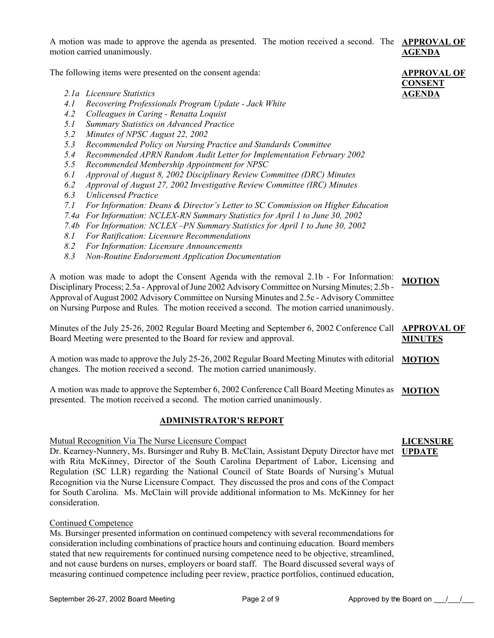A motion was made to approve the agenda as presented. The motion received a second. The **APPROVAL OF**  motion carried unanimously. **AGENDA**

The following items were presented on the consent agenda:

- *2.1a Licensure Statistics*
- *4.1 Recovering Professionals Program Update Jack White*
- *4.2 Colleagues in Caring Renatta Loquist*
- *5.1 Summary Statistics on Advanced Practice*
- *5.2 Minutes of NPSC August 22, 2002*
- *5.3 Recommended Policy on Nursing Practice and Standards Committee*
- *5.4 Recommended APRN Random Audit Letter for Implementation February 2002*
- *5.5 Recommended Membership Appointment for NPSC*
- *6.1 Approval of August 8, 2002 Disciplinary Review Committee (DRC) Minutes*
- *6.2 Approval of August 27, 2002 Investigative Review Committee (IRC) Minutes*
- *6.3 Unlicensed Practice*
- *7.1 For Information: Deans & Director's Letter to SC Commission on Higher Education*
- *7.4a For Information: NCLEX-RN Summary Statistics for April 1 to June 30, 2002*
- *7.4b For Information: NCLEX –PN Summary Statistics for April 1 to June 30, 2002*
- *8.1 For Ratification: Licensure Recommendations*
- *8.2 For Information: Licensure Announcements*
- *8.3 Non-Routine Endorsement Application Documentation*

A motion was made to adopt the Consent Agenda with the removal 2.1b - For Information: Disciplinary Process; 2.5a - Approval of June 2002 Advisory Committee on Nursing Minutes; 2.5b - Approval of August 2002 Advisory Committee on Nursing Minutes and 2.5c - Advisory Committee on Nursing Purpose and Rules*.* The motion received a second. The motion carried unanimously. **MOTION**

Minutes of the July 25-26, 2002 Regular Board Meeting and September 6, 2002 Conference Call Board Meeting were presented to the Board for review and approval. **APPROVAL OF MINUTES**

A motion was made to approve the July 25-26, 2002 Regular Board Meeting Minutes with editorial **MOTION** changes. The motion received a second. The motion carried unanimously.

A motion was made to approve the September 6, 2002 Conference Call Board Meeting Minutes as MOTION presented. The motion received a second. The motion carried unanimously.

#### **ADMINISTRATOR'S REPORT**

#### Mutual Recognition Via The Nurse Licensure Compact

Dr. Kearney-Nunnery, Ms. Bursinger and Ruby B. McClain, Assistant Deputy Director have met with Rita McKinney, Director of the South Carolina Department of Labor, Licensing and Regulation (SC LLR) regarding the National Council of State Boards of Nursing's Mutual Recognition via the Nurse Licensure Compact. They discussed the pros and cons of the Compact for South Carolina. Ms. McClain will provide additional information to Ms. McKinney for her consideration.

#### Continued Competence

Ms. Bursinger presented information on continued competency with several recommendations for consideration including combinations of practice hours and continuing education. Board members stated that new requirements for continued nursing competence need to be objective, streamlined, and not cause burdens on nurses, employers or board staff. The Board discussed several ways of measuring continued competence including peer review, practice portfolios, continued education,



**APPROVAL OF** 

**CONSENT AGENDA**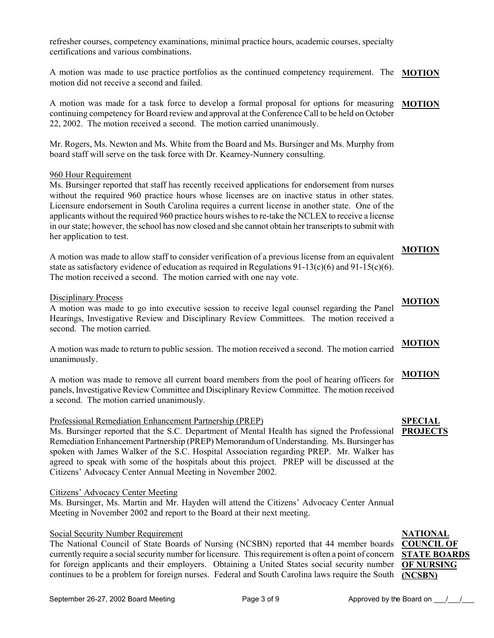refresher courses, competency examinations, minimal practice hours, academic courses, specialty certifications and various combinations.

A motion was made to use practice portfolios as the continued competency requirement. The **MOTION** motion did not receive a second and failed.

A motion was made for a task force to develop a formal proposal for options for measuring **MOTION** continuing competency for Board review and approval at the Conference Call to be held on October 22, 2002. The motion received a second. The motion carried unanimously.

Mr. Rogers, Ms. Newton and Ms. White from the Board and Ms. Bursinger and Ms. Murphy from board staff will serve on the task force with Dr. Kearney-Nunnery consulting.

#### 960 Hour Requirement

Ms. Bursinger reported that staff has recently received applications for endorsement from nurses without the required 960 practice hours whose licenses are on inactive status in other states. Licensure endorsement in South Carolina requires a current license in another state. One of the applicants without the required 960 practice hours wishes to re-take the NCLEX to receive a license in our state; however, the school has now closed and she cannot obtain her transcripts to submit with her application to test.

A motion was made to allow staff to consider verification of a previous license from an equivalent state as satisfactory evidence of education as required in Regulations  $91-13(c)(6)$  and  $91-15(c)(6)$ . The motion received a second. The motion carried with one nay vote.

#### Disciplinary Process

A motion was made to go into executive session to receive legal counsel regarding the Panel Hearings, Investigative Review and Disciplinary Review Committees. The motion received a second. The motion carried.

A motion was made to return to public session. The motion received a second. The motion carried unanimously. **MOTION**

A motion was made to remove all current board members from the pool of hearing officers for panels, Investigative Review Committee and Disciplinary Review Committee. The motion received a second. The motion carried unanimously.

#### Professional Remediation Enhancement Partnership (PREP)

Ms. Bursinger reported that the S.C. Department of Mental Health has signed the Professional Remediation Enhancement Partnership (PREP) Memorandum of Understanding. Ms. Bursinger has spoken with James Walker of the S.C. Hospital Association regarding PREP. Mr. Walker has agreed to speak with some of the hospitals about this project. PREP will be discussed at the Citizens' Advocacy Center Annual Meeting in November 2002.

#### Citizens' Advocacy Center Meeting

Ms. Bursinger, Ms. Martin and Mr. Hayden will attend the Citizens' Advocacy Center Annual Meeting in November 2002 and report to the Board at their next meeting.

#### Social Security Number Requirement

The National Council of State Boards of Nursing (NCSBN) reported that 44 member boards currently require a social security number for licensure. This requirement is often a point of concern for foreign applicants and their employers. Obtaining a United States social security number **OF NURSING**  continues to be a problem for foreign nurses. Federal and South Carolina laws require the South **(NCSBN)**



# **MOTION**

# **MOTION**

**MOTION**

#### **SPECIAL PROJECTS**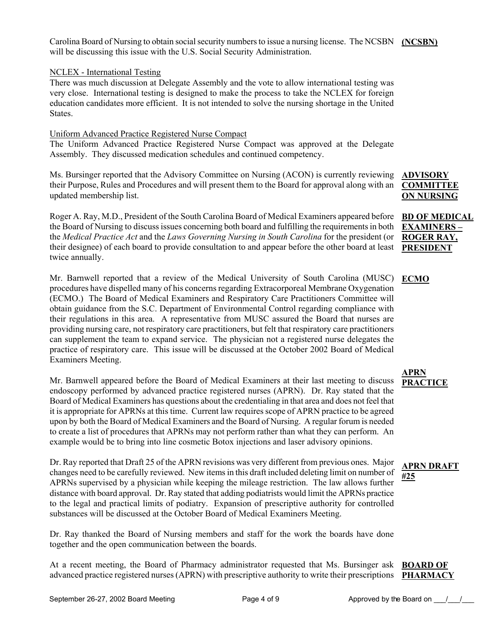Carolina Board of Nursing to obtain social security numbers to issue a nursing license. The NCSBN (NCSBN) will be discussing this issue with the U.S. Social Security Administration.

#### NCLEX - International Testing

There was much discussion at Delegate Assembly and the vote to allow international testing was very close. International testing is designed to make the process to take the NCLEX for foreign education candidates more efficient. It is not intended to solve the nursing shortage in the United **States**.

#### Uniform Advanced Practice Registered Nurse Compact

The Uniform Advanced Practice Registered Nurse Compact was approved at the Delegate Assembly. They discussed medication schedules and continued competency.

Ms. Bursinger reported that the Advisory Committee on Nursing (ACON) is currently reviewing their Purpose, Rules and Procedures and will present them to the Board for approval along with an updated membership list.

Roger A. Ray, M.D., President of the South Carolina Board of Medical Examiners appeared before the Board of Nursing to discuss issues concerning both board and fulfilling the requirements in both the *Medical Practice Act* and the *Laws Governing Nursing in South Carolina* for the president (or their designee) of each board to provide consultation to and appear before the other board at least twice annually.

Mr. Barnwell reported that a review of the Medical University of South Carolina (MUSC) procedures have dispelled many of his concerns regarding Extracorporeal Membrane Oxygenation (ECMO.) The Board of Medical Examiners and Respiratory Care Practitioners Committee will obtain guidance from the S.C. Department of Environmental Control regarding compliance with their regulations in this area. A representative from MUSC assured the Board that nurses are providing nursing care, not respiratory care practitioners, but felt that respiratory care practitioners can supplement the team to expand service. The physician not a registered nurse delegates the practice of respiratory care. This issue will be discussed at the October 2002 Board of Medical Examiners Meeting.

Mr. Barnwell appeared before the Board of Medical Examiners at their last meeting to discuss endoscopy performed by advanced practice registered nurses (APRN). Dr. Ray stated that the Board of Medical Examiners has questions about the credentialing in that area and does not feel that it is appropriate for APRNs at this time. Current law requires scope of APRN practice to be agreed upon by both the Board of Medical Examiners and the Board of Nursing. A regular forum is needed to create a list of procedures that APRNs may not perform rather than what they can perform. An example would be to bring into line cosmetic Botox injections and laser advisory opinions.

Dr. Ray reported that Draft 25 of the APRN revisions was very different from previous ones. Major changes need to be carefully reviewed. New items in this draft included deleting limit on number of APRNs supervised by a physician while keeping the mileage restriction. The law allows further distance with board approval. Dr. Ray stated that adding podiatrists would limit the APRNs practice to the legal and practical limits of podiatry. Expansion of prescriptive authority for controlled substances will be discussed at the October Board of Medical Examiners Meeting.

Dr. Ray thanked the Board of Nursing members and staff for the work the boards have done together and the open communication between the boards.

At a recent meeting, the Board of Pharmacy administrator requested that Ms. Bursinger ask **BOARD OF**  advanced practice registered nurses (APRN) with prescriptive authority to write their prescriptions **PHARMACY**

#### **ADVISORY COMMITTEE ON NURSING**

#### **BD OF MEDICAL EXAMINERS – ROGER RAY, PRESIDENT**

#### **ECMO**

**APRN PRACTICE**

### **APRN DRAFT #25**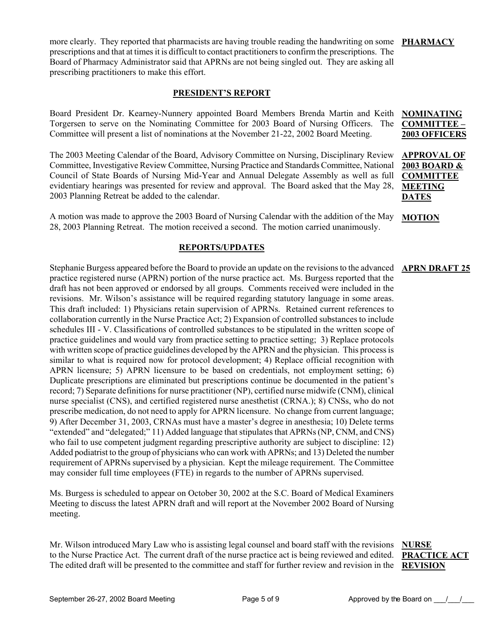more clearly. They reported that pharmacists are having trouble reading the handwriting on some PHARMACY prescriptions and that at times it is difficult to contact practitioners to confirm the prescriptions. The Board of Pharmacy Administrator said that APRNs are not being singled out. They are asking all prescribing practitioners to make this effort.

#### **PRESIDENT'S REPORT**

Board President Dr. Kearney-Nunnery appointed Board Members Brenda Martin and Keith Torgersen to serve on the Nominating Committee for 2003 Board of Nursing Officers. The Committee will present a list of nominations at the November 21-22, 2002 Board Meeting. **NOMINATING COMMITTEE – 2003 OFFICERS**

The 2003 Meeting Calendar of the Board, Advisory Committee on Nursing, Disciplinary Review Committee, Investigative Review Committee, Nursing Practice and Standards Committee, National Council of State Boards of Nursing Mid-Year and Annual Delegate Assembly as well as full evidentiary hearings was presented for review and approval. The Board asked that the May 28, 2003 Planning Retreat be added to the calendar.

A motion was made to approve the 2003 Board of Nursing Calendar with the addition of the May 28, 2003 Planning Retreat. The motion received a second. The motion carried unanimously.

#### **REPORTS/UPDATES**

Stephanie Burgess appeared before the Board to provide an update on the revisions to the advanced practice registered nurse (APRN) portion of the nurse practice act. Ms. Burgess reported that the draft has not been approved or endorsed by all groups. Comments received were included in the revisions. Mr. Wilson's assistance will be required regarding statutory language in some areas. This draft included: 1) Physicians retain supervision of APRNs. Retained current references to collaboration currently in the Nurse Practice Act; 2) Expansion of controlled substances to include schedules III - V. Classifications of controlled substances to be stipulated in the written scope of practice guidelines and would vary from practice setting to practice setting; 3) Replace protocols with written scope of practice guidelines developed by the APRN and the physician. This process is similar to what is required now for protocol development; 4) Replace official recognition with APRN licensure; 5) APRN licensure to be based on credentials, not employment setting; 6) Duplicate prescriptions are eliminated but prescriptions continue be documented in the patient's record; 7) Separate definitions for nurse practitioner (NP), certified nurse midwife (CNM), clinical nurse specialist (CNS), and certified registered nurse anesthetist (CRNA.); 8) CNSs, who do not prescribe medication, do not need to apply for APRN licensure. No change from current language; 9) After December 31, 2003, CRNAs must have a master's degree in anesthesia; 10) Delete terms "extended" and "delegated;" 11) Added language that stipulates that APRNs (NP, CNM, and CNS) who fail to use competent judgment regarding prescriptive authority are subject to discipline: 12) Added podiatrist to the group of physicians who can work with APRNs; and 13) Deleted the number requirement of APRNs supervised by a physician. Kept the mileage requirement. The Committee may consider full time employees (FTE) in regards to the number of APRNs supervised.

Ms. Burgess is scheduled to appear on October 30, 2002 at the S.C. Board of Medical Examiners Meeting to discuss the latest APRN draft and will report at the November 2002 Board of Nursing meeting.

Mr. Wilson introduced Mary Law who is assisting legal counsel and board staff with the revisions to the Nurse Practice Act. The current draft of the nurse practice act is being reviewed and edited. The edited draft will be presented to the committee and staff for further review and revision in the

#### **NURSE PRACTICE ACT REVISION**

**APPROVAL OF 2003 BOARD & COMMITTEE MEETING** 

**MOTION**

**DATES**

#### **APRN DRAFT 25**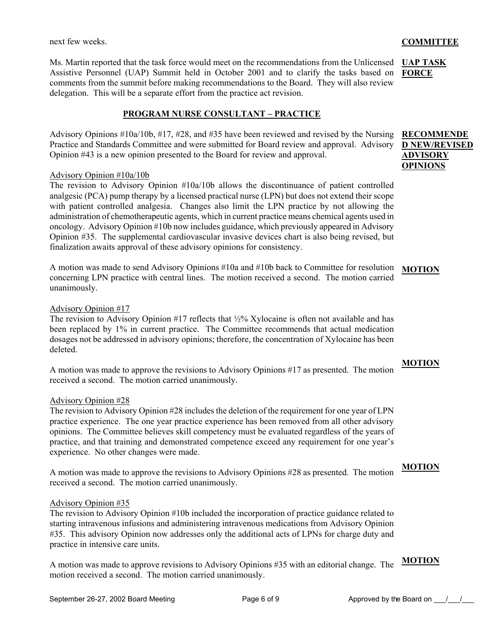Ms. Martin reported that the task force would meet on the recommendations from the Unlicensed UAP TASK Assistive Personnel (UAP) Summit held in October 2001 and to clarify the tasks based on comments from the summit before making recommendations to the Board. They will also review delegation. This will be a separate effort from the practice act revision.

### **PROGRAM NURSE CONSULTANT – PRACTICE**

Advisory Opinions #10a/10b, #17, #28, and #35 have been reviewed and revised by the Nursing **RECOMMENDE** Practice and Standards Committee and were submitted for Board review and approval. Advisory Opinion #43 is a new opinion presented to the Board for review and approval.

#### Advisory Opinion #10a/10b

The revision to Advisory Opinion #10a/10b allows the discontinuance of patient controlled analgesic (PCA) pump therapy by a licensed practical nurse (LPN) but does not extend their scope with patient controlled analgesia. Changes also limit the LPN practice by not allowing the administration of chemotherapeutic agents, which in current practice means chemical agents used in oncology. Advisory Opinion #10b now includes guidance, which previously appeared in Advisory Opinion #35. The supplemental cardiovascular invasive devices chart is also being revised, but finalization awaits approval of these advisory opinions for consistency.

A motion was made to send Advisory Opinions #10a and #10b back to Committee for resolution **MOTION** concerning LPN practice with central lines. The motion received a second. The motion carried unanimously.

### Advisory Opinion #17

The revision to Advisory Opinion #17 reflects that ½% Xylocaine is often not available and has been replaced by 1% in current practice. The Committee recommends that actual medication dosages not be addressed in advisory opinions; therefore, the concentration of Xylocaine has been deleted.

A motion was made to approve the revisions to Advisory Opinions #17 as presented. The motion received a second. The motion carried unanimously.

### Advisory Opinion #28

The revision to Advisory Opinion #28 includes the deletion of the requirement for one year of LPN practice experience. The one year practice experience has been removed from all other advisory opinions. The Committee believes skill competency must be evaluated regardless of the years of practice, and that training and demonstrated competence exceed any requirement for one year's experience. No other changes were made.

A motion was made to approve the revisions to Advisory Opinions #28 as presented. The motion received a second. The motion carried unanimously.

#### Advisory Opinion #35

The revision to Advisory Opinion #10b included the incorporation of practice guidance related to starting intravenous infusions and administering intravenous medications from Advisory Opinion #35. This advisory Opinion now addresses only the additional acts of LPNs for charge duty and practice in intensive care units.

A motion was made to approve revisions to Advisory Opinions #35 with an editorial change. The **MOTION**motion received a second. The motion carried unanimously.

# **FORCE**

# **D NEW/REVISED ADVISORY OPINIONS**

## **MOTION**

#### **MOTION**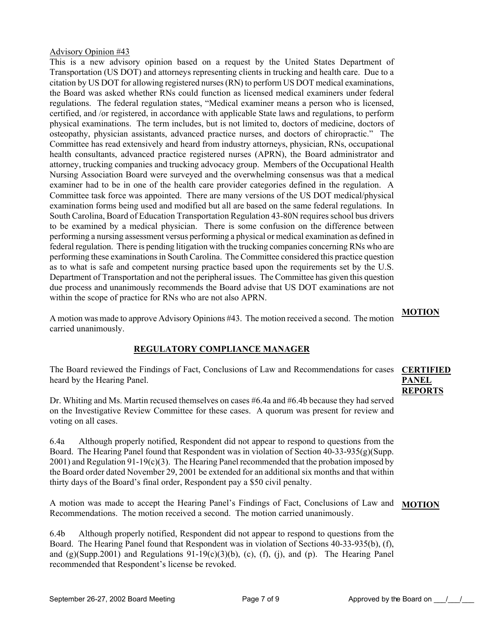#### Advisory Opinion #43

This is a new advisory opinion based on a request by the United States Department of Transportation (US DOT) and attorneys representing clients in trucking and health care. Due to a citation by US DOT for allowing registered nurses (RN) to perform US DOT medical examinations, the Board was asked whether RNs could function as licensed medical examiners under federal regulations. The federal regulation states, "Medical examiner means a person who is licensed, certified, and /or registered, in accordance with applicable State laws and regulations, to perform physical examinations. The term includes, but is not limited to, doctors of medicine, doctors of osteopathy, physician assistants, advanced practice nurses, and doctors of chiropractic." The Committee has read extensively and heard from industry attorneys, physician, RNs, occupational health consultants, advanced practice registered nurses (APRN), the Board administrator and attorney, trucking companies and trucking advocacy group. Members of the Occupational Health Nursing Association Board were surveyed and the overwhelming consensus was that a medical examiner had to be in one of the health care provider categories defined in the regulation. A Committee task force was appointed. There are many versions of the US DOT medical/physical examination forms being used and modified but all are based on the same federal regulations. In South Carolina, Board of Education Transportation Regulation 43-80N requires school bus drivers to be examined by a medical physician. There is some confusion on the difference between performing a nursing assessment versus performing a physical or medical examination as defined in federal regulation. There is pending litigation with the trucking companies concerning RNs who are performing these examinations in South Carolina. The Committee considered this practice question as to what is safe and competent nursing practice based upon the requirements set by the U.S. Department of Transportation and not the peripheral issues. The Committee has given this question due process and unanimously recommends the Board advise that US DOT examinations are not within the scope of practice for RNs who are not also APRN.

A motion was made to approve Advisory Opinions #43. The motion received a second. The motion carried unanimously.

#### **REGULATORY COMPLIANCE MANAGER**

The Board reviewed the Findings of Fact, Conclusions of Law and Recommendations for cases **CERTIFIED**  heard by the Hearing Panel.

**PANEL REPORTS**

**MOTION**

Dr. Whiting and Ms. Martin recused themselves on cases #6.4a and #6.4b because they had served on the Investigative Review Committee for these cases. A quorum was present for review and voting on all cases.

6.4a Although properly notified, Respondent did not appear to respond to questions from the Board. The Hearing Panel found that Respondent was in violation of Section 40-33-935(g)(Supp. 2001) and Regulation 91-19(c)(3). The Hearing Panel recommended that the probation imposed by the Board order dated November 29, 2001 be extended for an additional six months and that within thirty days of the Board's final order, Respondent pay a \$50 civil penalty.

A motion was made to accept the Hearing Panel's Findings of Fact, Conclusions of Law and Recommendations. The motion received a second. The motion carried unanimously. **MOTION**

6.4b Although properly notified, Respondent did not appear to respond to questions from the Board. The Hearing Panel found that Respondent was in violation of Sections 40-33-935(b), (f), and  $(g)(Supp.2001)$  and Regulations  $91-19(c)(3)(b)$ ,  $(c)$ ,  $(f)$ ,  $(i)$ , and  $(p)$ . The Hearing Panel recommended that Respondent's license be revoked.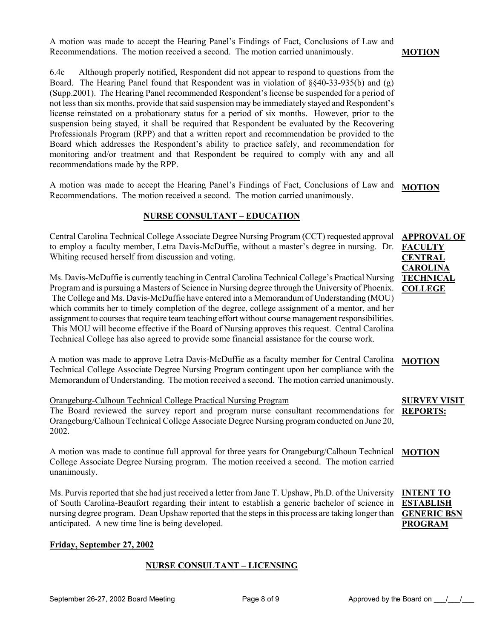A motion was made to accept the Hearing Panel's Findings of Fact, Conclusions of Law and Recommendations. The motion received a second. The motion carried unanimously.

6.4c Although properly notified, Respondent did not appear to respond to questions from the Board. The Hearing Panel found that Respondent was in violation of §§40-33-935(b) and (g) (Supp.2001). The Hearing Panel recommended Respondent's license be suspended for a period of not less than six months, provide that said suspension may be immediately stayed and Respondent's license reinstated on a probationary status for a period of six months. However, prior to the suspension being stayed, it shall be required that Respondent be evaluated by the Recovering Professionals Program (RPP) and that a written report and recommendation be provided to the Board which addresses the Respondent's ability to practice safely, and recommendation for monitoring and/or treatment and that Respondent be required to comply with any and all recommendations made by the RPP.

A motion was made to accept the Hearing Panel's Findings of Fact, Conclusions of Law and Recommendations. The motion received a second. The motion carried unanimously. **MOTION**

#### **NURSE CONSULTANT – EDUCATION**

Central Carolina Technical College Associate Degree Nursing Program (CCT) requested approval to employ a faculty member, Letra Davis-McDuffie, without a master's degree in nursing. Dr. Whiting recused herself from discussion and voting.

Ms. Davis-McDuffie is currently teaching in Central Carolina Technical College's Practical Nursing Program and is pursuing a Masters of Science in Nursing degree through the University of Phoenix. The College and Ms. Davis-McDuffie have entered into a Memorandum of Understanding (MOU) which commits her to timely completion of the degree, college assignment of a mentor, and her assignment to courses that require team teaching effort without course management responsibilities. This MOU will become effective if the Board of Nursing approves this request. Central Carolina Technical College has also agreed to provide some financial assistance for the course work.

A motion was made to approve Letra Davis-McDuffie as a faculty member for Central Carolina Technical College Associate Degree Nursing Program contingent upon her compliance with the Memorandum of Understanding. The motion received a second. The motion carried unanimously.

#### Orangeburg-Calhoun Technical College Practical Nursing Program

The Board reviewed the survey report and program nurse consultant recommendations for Orangeburg/Calhoun Technical College Associate Degree Nursing program conducted on June 20, 2002.

A motion was made to continue full approval for three years for Orangeburg/Calhoun Technical College Associate Degree Nursing program. The motion received a second. The motion carried unanimously.

Ms. Purvis reported that she had just received a letter from Jane T. Upshaw, Ph.D. of the University of South Carolina-Beaufort regarding their intent to establish a generic bachelor of science in nursing degree program. Dean Upshaw reported that the steps in this process are taking longer than anticipated. A new time line is being developed.

#### **Friday, September 27, 2002**

#### **NURSE CONSULTANT – LICENSING**

**MOTION**

#### **MOTION**

#### **SURVEY VISIT REPORTS:**

#### **MOTION**

**INTENT TO ESTABLISH GENERIC BSN PROGRAM**